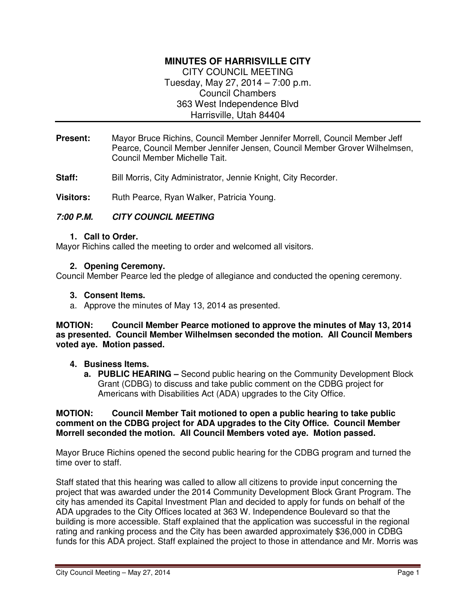# **MINUTES OF HARRISVILLE CITY**

CITY COUNCIL MEETING Tuesday, May 27, 2014 – 7:00 p.m. Council Chambers 363 West Independence Blvd Harrisville, Utah 84404

- **Present:** Mayor Bruce Richins, Council Member Jennifer Morrell, Council Member Jeff Pearce, Council Member Jennifer Jensen, Council Member Grover Wilhelmsen, Council Member Michelle Tait.
- **Staff:** Bill Morris, City Administrator, Jennie Knight, City Recorder.

Visitors: Ruth Pearce, Ryan Walker, Patricia Young.

#### **7:00 P.M. CITY COUNCIL MEETING**

#### **1. Call to Order.**

Mayor Richins called the meeting to order and welcomed all visitors.

#### **2. Opening Ceremony.**

Council Member Pearce led the pledge of allegiance and conducted the opening ceremony.

#### **3. Consent Items.**

a. Approve the minutes of May 13, 2014 as presented.

#### **MOTION: Council Member Pearce motioned to approve the minutes of May 13, 2014 as presented. Council Member Wilhelmsen seconded the motion. All Council Members voted aye. Motion passed.**

#### **4. Business Items.**

**a. PUBLIC HEARING –** Second public hearing on the Community Development Block Grant (CDBG) to discuss and take public comment on the CDBG project for Americans with Disabilities Act (ADA) upgrades to the City Office.

#### **MOTION: Council Member Tait motioned to open a public hearing to take public comment on the CDBG project for ADA upgrades to the City Office. Council Member Morrell seconded the motion. All Council Members voted aye. Motion passed.**

Mayor Bruce Richins opened the second public hearing for the CDBG program and turned the time over to staff.

Staff stated that this hearing was called to allow all citizens to provide input concerning the project that was awarded under the 2014 Community Development Block Grant Program. The city has amended its Capital Investment Plan and decided to apply for funds on behalf of the ADA upgrades to the City Offices located at 363 W. Independence Boulevard so that the building is more accessible. Staff explained that the application was successful in the regional rating and ranking process and the City has been awarded approximately \$36,000 in CDBG funds for this ADA project. Staff explained the project to those in attendance and Mr. Morris was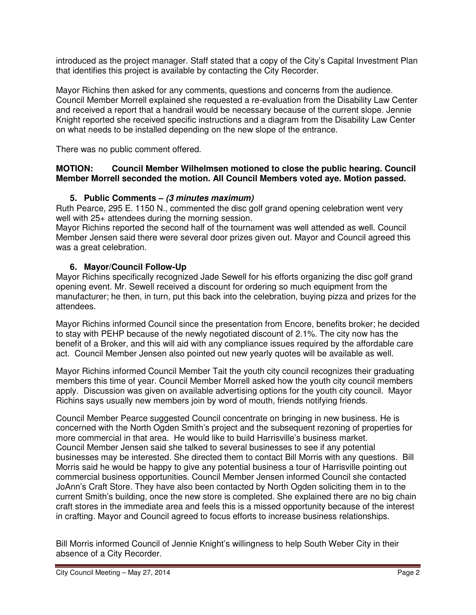introduced as the project manager. Staff stated that a copy of the City's Capital Investment Plan that identifies this project is available by contacting the City Recorder.

Mayor Richins then asked for any comments, questions and concerns from the audience. Council Member Morrell explained she requested a re-evaluation from the Disability Law Center and received a report that a handrail would be necessary because of the current slope. Jennie Knight reported she received specific instructions and a diagram from the Disability Law Center on what needs to be installed depending on the new slope of the entrance.

There was no public comment offered.

### **MOTION: Council Member Wilhelmsen motioned to close the public hearing. Council Member Morrell seconded the motion. All Council Members voted aye. Motion passed.**

# **5. Public Comments – (3 minutes maximum)**

Ruth Pearce, 295 E. 1150 N., commented the disc golf grand opening celebration went very well with 25+ attendees during the morning session.

Mayor Richins reported the second half of the tournament was well attended as well. Council Member Jensen said there were several door prizes given out. Mayor and Council agreed this was a great celebration.

# **6. Mayor/Council Follow-Up**

Mayor Richins specifically recognized Jade Sewell for his efforts organizing the disc golf grand opening event. Mr. Sewell received a discount for ordering so much equipment from the manufacturer; he then, in turn, put this back into the celebration, buying pizza and prizes for the attendees.

Mayor Richins informed Council since the presentation from Encore, benefits broker; he decided to stay with PEHP because of the newly negotiated discount of 2.1%. The city now has the benefit of a Broker, and this will aid with any compliance issues required by the affordable care act. Council Member Jensen also pointed out new yearly quotes will be available as well.

Mayor Richins informed Council Member Tait the youth city council recognizes their graduating members this time of year. Council Member Morrell asked how the youth city council members apply. Discussion was given on available advertising options for the youth city council. Mayor Richins says usually new members join by word of mouth, friends notifying friends.

Council Member Pearce suggested Council concentrate on bringing in new business. He is concerned with the North Ogden Smith's project and the subsequent rezoning of properties for more commercial in that area. He would like to build Harrisville's business market. Council Member Jensen said she talked to several businesses to see if any potential businesses may be interested. She directed them to contact Bill Morris with any questions. Bill Morris said he would be happy to give any potential business a tour of Harrisville pointing out commercial business opportunities. Council Member Jensen informed Council she contacted JoAnn's Craft Store. They have also been contacted by North Ogden soliciting them in to the current Smith's building, once the new store is completed. She explained there are no big chain craft stores in the immediate area and feels this is a missed opportunity because of the interest in crafting. Mayor and Council agreed to focus efforts to increase business relationships.

Bill Morris informed Council of Jennie Knight's willingness to help South Weber City in their absence of a City Recorder.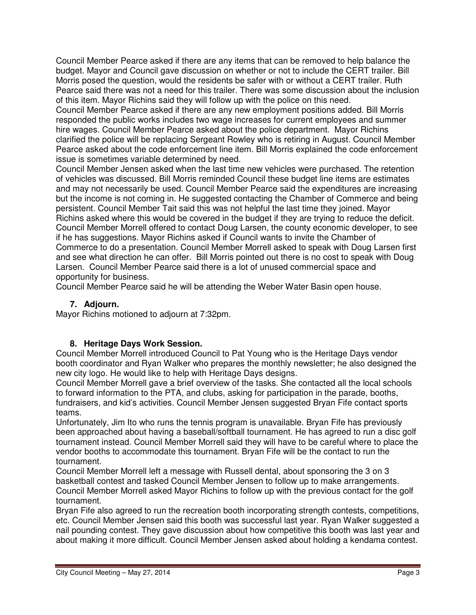Council Member Pearce asked if there are any items that can be removed to help balance the budget. Mayor and Council gave discussion on whether or not to include the CERT trailer. Bill Morris posed the question, would the residents be safer with or without a CERT trailer. Ruth Pearce said there was not a need for this trailer. There was some discussion about the inclusion of this item. Mayor Richins said they will follow up with the police on this need.

Council Member Pearce asked if there are any new employment positions added. Bill Morris responded the public works includes two wage increases for current employees and summer hire wages. Council Member Pearce asked about the police department. Mayor Richins clarified the police will be replacing Sergeant Rowley who is retiring in August. Council Member Pearce asked about the code enforcement line item. Bill Morris explained the code enforcement issue is sometimes variable determined by need.

Council Member Jensen asked when the last time new vehicles were purchased. The retention of vehicles was discussed. Bill Morris reminded Council these budget line items are estimates and may not necessarily be used. Council Member Pearce said the expenditures are increasing but the income is not coming in. He suggested contacting the Chamber of Commerce and being persistent. Council Member Tait said this was not helpful the last time they joined. Mayor Richins asked where this would be covered in the budget if they are trying to reduce the deficit. Council Member Morrell offered to contact Doug Larsen, the county economic developer, to see if he has suggestions. Mayor Richins asked if Council wants to invite the Chamber of Commerce to do a presentation. Council Member Morrell asked to speak with Doug Larsen first and see what direction he can offer. Bill Morris pointed out there is no cost to speak with Doug Larsen. Council Member Pearce said there is a lot of unused commercial space and opportunity for business.

Council Member Pearce said he will be attending the Weber Water Basin open house.

# **7. Adjourn.**

Mayor Richins motioned to adjourn at 7:32pm.

# **8. Heritage Days Work Session.**

Council Member Morrell introduced Council to Pat Young who is the Heritage Days vendor booth coordinator and Ryan Walker who prepares the monthly newsletter; he also designed the new city logo. He would like to help with Heritage Days designs.

Council Member Morrell gave a brief overview of the tasks. She contacted all the local schools to forward information to the PTA, and clubs, asking for participation in the parade, booths, fundraisers, and kid's activities. Council Member Jensen suggested Bryan Fife contact sports teams.

Unfortunately, Jim Ito who runs the tennis program is unavailable. Bryan Fife has previously been approached about having a baseball/softball tournament. He has agreed to run a disc golf tournament instead. Council Member Morrell said they will have to be careful where to place the vendor booths to accommodate this tournament. Bryan Fife will be the contact to run the tournament.

Council Member Morrell left a message with Russell dental, about sponsoring the 3 on 3 basketball contest and tasked Council Member Jensen to follow up to make arrangements. Council Member Morrell asked Mayor Richins to follow up with the previous contact for the golf tournament.

Bryan Fife also agreed to run the recreation booth incorporating strength contests, competitions, etc. Council Member Jensen said this booth was successful last year. Ryan Walker suggested a nail pounding contest. They gave discussion about how competitive this booth was last year and about making it more difficult. Council Member Jensen asked about holding a kendama contest.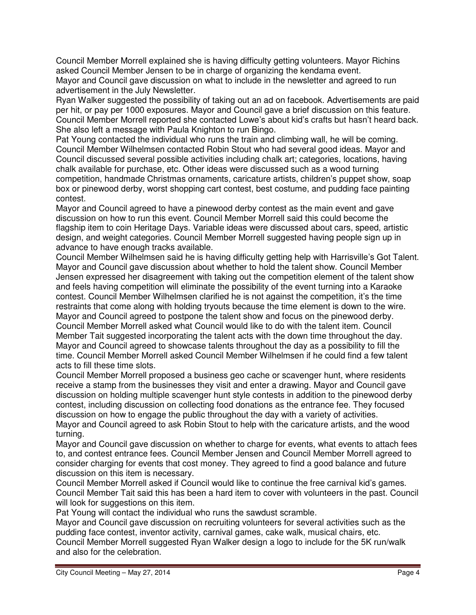Council Member Morrell explained she is having difficulty getting volunteers. Mayor Richins asked Council Member Jensen to be in charge of organizing the kendama event. Mayor and Council gave discussion on what to include in the newsletter and agreed to run advertisement in the July Newsletter.

Ryan Walker suggested the possibility of taking out an ad on facebook. Advertisements are paid per hit, or pay per 1000 exposures. Mayor and Council gave a brief discussion on this feature. Council Member Morrell reported she contacted Lowe's about kid's crafts but hasn't heard back. She also left a message with Paula Knighton to run Bingo.

Pat Young contacted the individual who runs the train and climbing wall, he will be coming. Council Member Wilhelmsen contacted Robin Stout who had several good ideas. Mayor and Council discussed several possible activities including chalk art; categories, locations, having chalk available for purchase, etc. Other ideas were discussed such as a wood turning competition, handmade Christmas ornaments, caricature artists, children's puppet show, soap box or pinewood derby, worst shopping cart contest, best costume, and pudding face painting contest.

Mayor and Council agreed to have a pinewood derby contest as the main event and gave discussion on how to run this event. Council Member Morrell said this could become the flagship item to coin Heritage Days. Variable ideas were discussed about cars, speed, artistic design, and weight categories. Council Member Morrell suggested having people sign up in advance to have enough tracks available.

Council Member Wilhelmsen said he is having difficulty getting help with Harrisville's Got Talent. Mayor and Council gave discussion about whether to hold the talent show. Council Member Jensen expressed her disagreement with taking out the competition element of the talent show and feels having competition will eliminate the possibility of the event turning into a Karaoke contest. Council Member Wilhelmsen clarified he is not against the competition, it's the time restraints that come along with holding tryouts because the time element is down to the wire. Mayor and Council agreed to postpone the talent show and focus on the pinewood derby. Council Member Morrell asked what Council would like to do with the talent item. Council Member Tait suggested incorporating the talent acts with the down time throughout the day. Mayor and Council agreed to showcase talents throughout the day as a possibility to fill the time. Council Member Morrell asked Council Member Wilhelmsen if he could find a few talent acts to fill these time slots.

Council Member Morrell proposed a business geo cache or scavenger hunt, where residents receive a stamp from the businesses they visit and enter a drawing. Mayor and Council gave discussion on holding multiple scavenger hunt style contests in addition to the pinewood derby contest, including discussion on collecting food donations as the entrance fee. They focused discussion on how to engage the public throughout the day with a variety of activities. Mayor and Council agreed to ask Robin Stout to help with the caricature artists, and the wood turning.

Mayor and Council gave discussion on whether to charge for events, what events to attach fees to, and contest entrance fees. Council Member Jensen and Council Member Morrell agreed to consider charging for events that cost money. They agreed to find a good balance and future discussion on this item is necessary.

Council Member Morrell asked if Council would like to continue the free carnival kid's games. Council Member Tait said this has been a hard item to cover with volunteers in the past. Council will look for suggestions on this item.

Pat Young will contact the individual who runs the sawdust scramble.

Mayor and Council gave discussion on recruiting volunteers for several activities such as the pudding face contest, inventor activity, carnival games, cake walk, musical chairs, etc. Council Member Morrell suggested Ryan Walker design a logo to include for the 5K run/walk and also for the celebration.